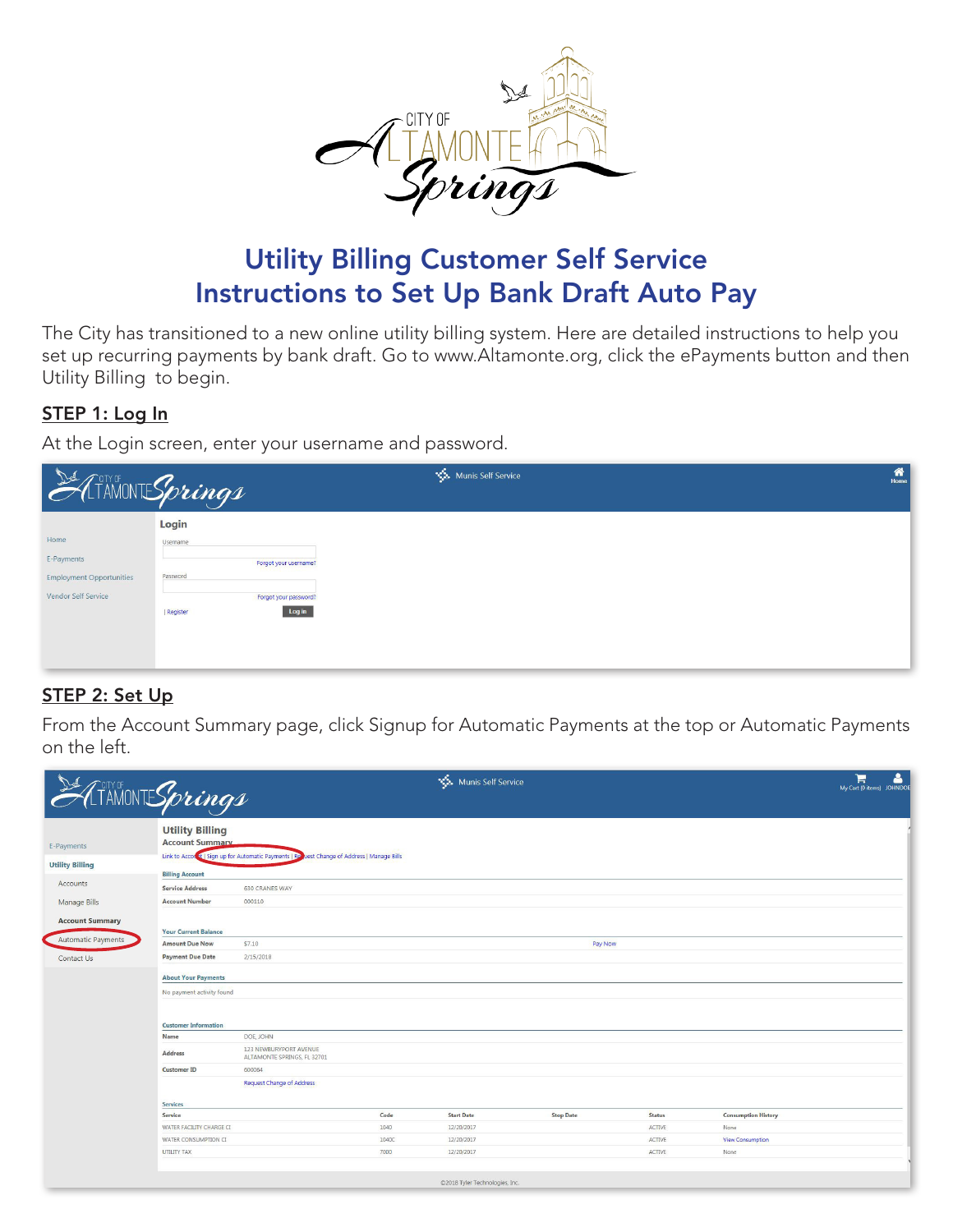

## **Utility Billing Customer Self Service Instructions to Set Up Bank Draft Auto Pay**

The City has transitioned to a new online utility billing system. Here are detailed instructions to help you set up recurring payments by bank draft. Go to www.Altamonte.org, click the ePayments button and then Utility Billing to begin.

## STEP 1: Log In

At the Login screen, enter your username and password.

| ATAMONT Springs                                                              |                                                                                                         | Munis Self Service | 倄<br>Home |
|------------------------------------------------------------------------------|---------------------------------------------------------------------------------------------------------|--------------------|-----------|
| Home<br>E-Payments<br><b>Employment Opportunities</b><br>Vendor Self Service | Login<br>Username<br>Forgot your username?<br>Password<br>Forgot your password?<br>Log in<br>  Register |                    |           |

## STEP 2: Set Up

From the Account Summary page, click Signup for Automatic Payments at the top or Automatic Payments on the left.

|                           | THAMONTESprings                                  |                                                                                             |       | Munis Self Service             |                  |               |                            | ئے<br>谓<br>My Cart (0 items) JOHNDOE |
|---------------------------|--------------------------------------------------|---------------------------------------------------------------------------------------------|-------|--------------------------------|------------------|---------------|----------------------------|--------------------------------------|
| E-Payments                | <b>Utility Billing</b><br><b>Account Summary</b> |                                                                                             |       |                                |                  |               |                            |                                      |
| <b>Utility Billing</b>    |                                                  | Link to Account   Sign up for Automatic Payments   Re Lest Change of Address   Manage Bills |       |                                |                  |               |                            |                                      |
| Accounts                  | <b>Billing Account</b>                           |                                                                                             |       |                                |                  |               |                            |                                      |
|                           | <b>Service Address</b>                           | 630 CRANES WAY                                                                              |       |                                |                  |               |                            |                                      |
| <b>Manage Bills</b>       | <b>Account Number</b>                            | 000110                                                                                      |       |                                |                  |               |                            |                                      |
| <b>Account Summary</b>    | <b>Your Current Balance</b>                      |                                                                                             |       |                                |                  |               |                            |                                      |
| <b>Automatic Payments</b> | <b>Amount Due Now</b>                            | \$7.10                                                                                      |       |                                | Pay Now          |               |                            |                                      |
| Contact Us                | <b>Payment Due Date</b>                          | 2/15/2018                                                                                   |       |                                |                  |               |                            |                                      |
|                           | <b>About Your Payments</b>                       |                                                                                             |       |                                |                  |               |                            |                                      |
|                           | No payment activity found                        |                                                                                             |       |                                |                  |               |                            |                                      |
|                           | <b>Customer Information</b>                      |                                                                                             |       |                                |                  |               |                            |                                      |
|                           | Name                                             | DOE, JOHN                                                                                   |       |                                |                  |               |                            |                                      |
|                           | Address                                          | 123 NEWBURYPORT AVENUE<br>ALTAMONTE SPRINGS, FL 32701                                       |       |                                |                  |               |                            |                                      |
|                           | <b>Customer ID</b>                               | 600064                                                                                      |       |                                |                  |               |                            |                                      |
|                           |                                                  | Request Change of Address                                                                   |       |                                |                  |               |                            |                                      |
|                           | <b>Services</b>                                  |                                                                                             |       |                                |                  |               |                            |                                      |
|                           | Service                                          |                                                                                             | Code  | <b>Start Date</b>              | <b>Stop Date</b> | <b>Status</b> | <b>Consumption History</b> |                                      |
|                           | WATER FACILITY CHARGE CI                         |                                                                                             | 1040  | 12/20/2017                     |                  | ACTIVE        | None                       |                                      |
|                           | WATER CONSUMPTION CI                             |                                                                                             | 1040C | 12/20/2017                     |                  | ACTIVE        | <b>View Consumption</b>    |                                      |
|                           | <b>UTILITY TAX</b>                               |                                                                                             | 7000  | 12/20/2017                     |                  | ACTIVE        | None                       |                                      |
|                           |                                                  |                                                                                             |       |                                |                  |               |                            |                                      |
|                           |                                                  |                                                                                             |       | ©2018 Tyler Technologies, Inc. |                  |               |                            |                                      |